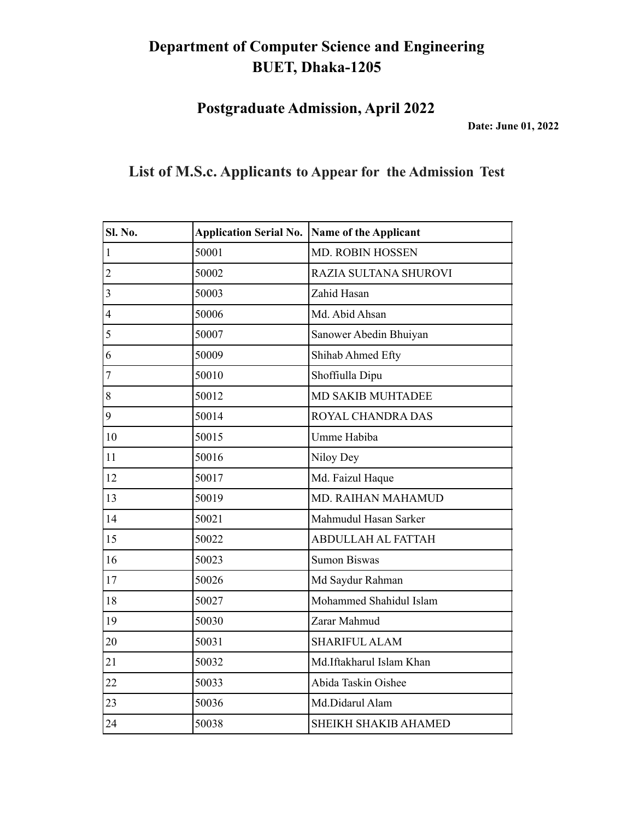**Postgraduate Admission, April 2022**

**Date: June 01, 2022**

| Sl. No.                  | <b>Application Serial No.</b> | Name of the Applicant       |
|--------------------------|-------------------------------|-----------------------------|
| $\overline{1}$           | 50001                         | <b>MD. ROBIN HOSSEN</b>     |
| $\overline{2}$           | 50002                         | RAZIA SULTANA SHUROVI       |
| 3                        | 50003                         | Zahid Hasan                 |
| $\overline{\mathcal{L}}$ | 50006                         | Md. Abid Ahsan              |
| 5                        | 50007                         | Sanower Abedin Bhuiyan      |
| 6                        | 50009                         | Shihab Ahmed Efty           |
| $\overline{7}$           | 50010                         | Shoffiulla Dipu             |
| 8                        | 50012                         | <b>MD SAKIB MUHTADEE</b>    |
| 9                        | 50014                         | ROYAL CHANDRA DAS           |
| 10                       | 50015                         | Umme Habiba                 |
| 11                       | 50016                         | Niloy Dey                   |
| 12                       | 50017                         | Md. Faizul Haque            |
| 13                       | 50019                         | MD. RAIHAN MAHAMUD          |
| 14                       | 50021                         | Mahmudul Hasan Sarker       |
| 15                       | 50022                         | <b>ABDULLAH AL FATTAH</b>   |
| 16                       | 50023                         | <b>Sumon Biswas</b>         |
| 17                       | 50026                         | Md Saydur Rahman            |
| 18                       | 50027                         | Mohammed Shahidul Islam     |
| 19                       | 50030                         | Zarar Mahmud                |
| 20                       | 50031                         | <b>SHARIFUL ALAM</b>        |
| 21                       | 50032                         | Md.Iftakharul Islam Khan    |
| 22                       | 50033                         | Abida Taskin Oishee         |
| 23                       | 50036                         | Md.Didarul Alam             |
| 24                       | 50038                         | <b>SHEIKH SHAKIB AHAMED</b> |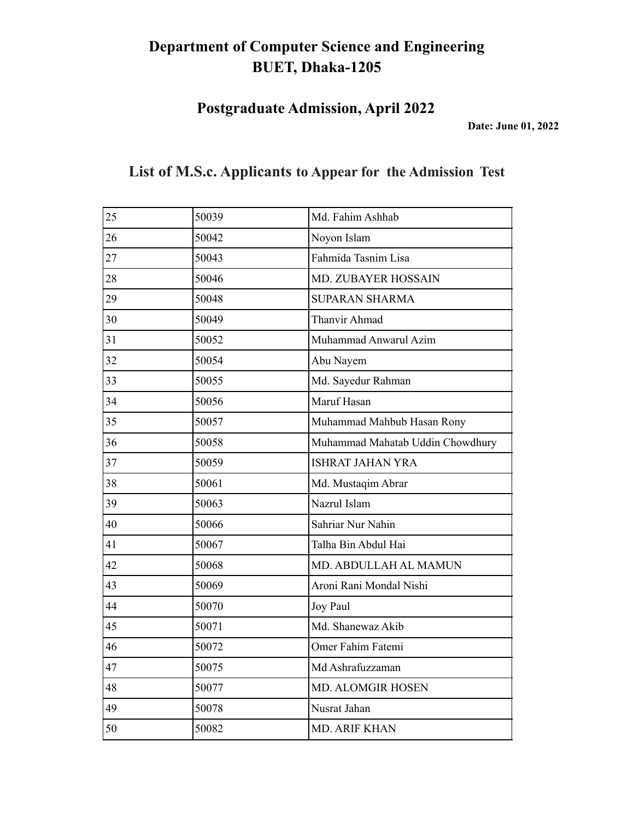**Postgraduate Admission, April 2022**

**Date: June 01, 2022**

| 25 | 50039 | Md. Fahim Ashhab                 |
|----|-------|----------------------------------|
| 26 | 50042 | Noyon Islam                      |
| 27 | 50043 | Fahmida Tasnim Lisa              |
| 28 | 50046 | MD. ZUBAYER HOSSAIN              |
| 29 | 50048 | <b>SUPARAN SHARMA</b>            |
| 30 | 50049 | <b>Thanvir Ahmad</b>             |
| 31 | 50052 | Muhammad Anwarul Azim            |
| 32 | 50054 | Abu Nayem                        |
| 33 | 50055 | Md. Sayedur Rahman               |
| 34 | 50056 | Maruf Hasan                      |
| 35 | 50057 | Muhammad Mahbub Hasan Rony       |
| 36 | 50058 | Muhammad Mahatab Uddin Chowdhury |
| 37 | 50059 | <b>ISHRAT JAHAN YRA</b>          |
| 38 | 50061 | Md. Mustaqim Abrar               |
| 39 | 50063 | Nazrul Islam                     |
| 40 | 50066 | Sahriar Nur Nahin                |
| 41 | 50067 | Talha Bin Abdul Hai              |
| 42 | 50068 | MD. ABDULLAH AL MAMUN            |
| 43 | 50069 | Aroni Rani Mondal Nishi          |
| 44 | 50070 | Joy Paul                         |
| 45 | 50071 | Md. Shanewaz Akib                |
| 46 | 50072 | Omer Fahim Fatemi                |
| 47 | 50075 | Md Ashrafuzzaman                 |
| 48 | 50077 | <b>MD. ALOMGIR HOSEN</b>         |
| 49 | 50078 | Nusrat Jahan                     |
| 50 | 50082 | <b>MD. ARIF KHAN</b>             |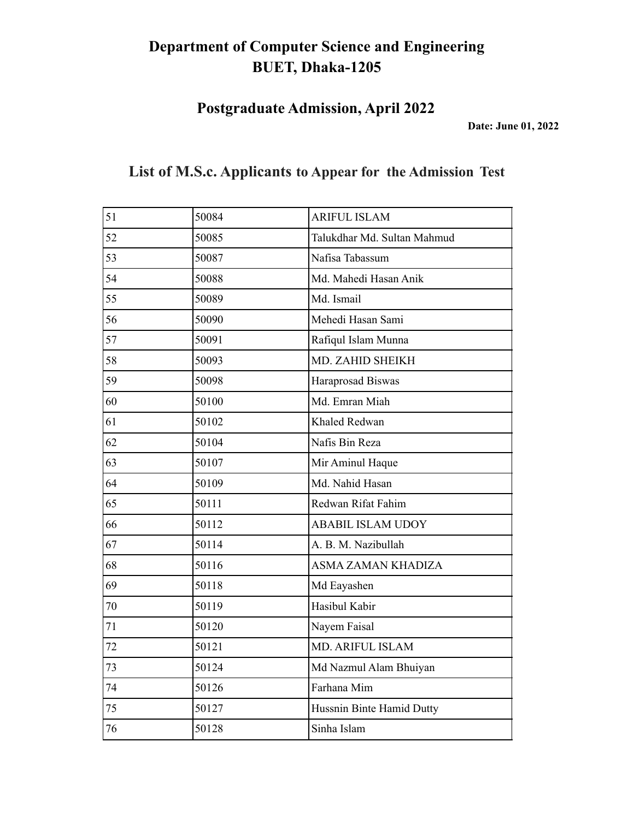**Postgraduate Admission, April 2022**

**Date: June 01, 2022**

| 51 | 50084 | <b>ARIFUL ISLAM</b>         |
|----|-------|-----------------------------|
| 52 | 50085 | Talukdhar Md. Sultan Mahmud |
| 53 | 50087 | Nafisa Tabassum             |
| 54 | 50088 | Md. Mahedi Hasan Anik       |
| 55 | 50089 | Md. Ismail                  |
| 56 | 50090 | Mehedi Hasan Sami           |
| 57 | 50091 | Rafiqul Islam Munna         |
| 58 | 50093 | MD. ZAHID SHEIKH            |
| 59 | 50098 | Haraprosad Biswas           |
| 60 | 50100 | Md. Emran Miah              |
| 61 | 50102 | Khaled Redwan               |
| 62 | 50104 | Nafis Bin Reza              |
| 63 | 50107 | Mir Aminul Haque            |
| 64 | 50109 | Md. Nahid Hasan             |
| 65 | 50111 | Redwan Rifat Fahim          |
| 66 | 50112 | <b>ABABIL ISLAM UDOY</b>    |
| 67 | 50114 | A. B. M. Nazibullah         |
| 68 | 50116 | ASMA ZAMAN KHADIZA          |
| 69 | 50118 | Md Eayashen                 |
| 70 | 50119 | Hasibul Kabir               |
| 71 | 50120 | Nayem Faisal                |
| 72 | 50121 | MD. ARIFUL ISLAM            |
| 73 | 50124 | Md Nazmul Alam Bhuiyan      |
| 74 | 50126 | Farhana Mim                 |
| 75 | 50127 | Hussnin Binte Hamid Dutty   |
| 76 | 50128 | Sinha Islam                 |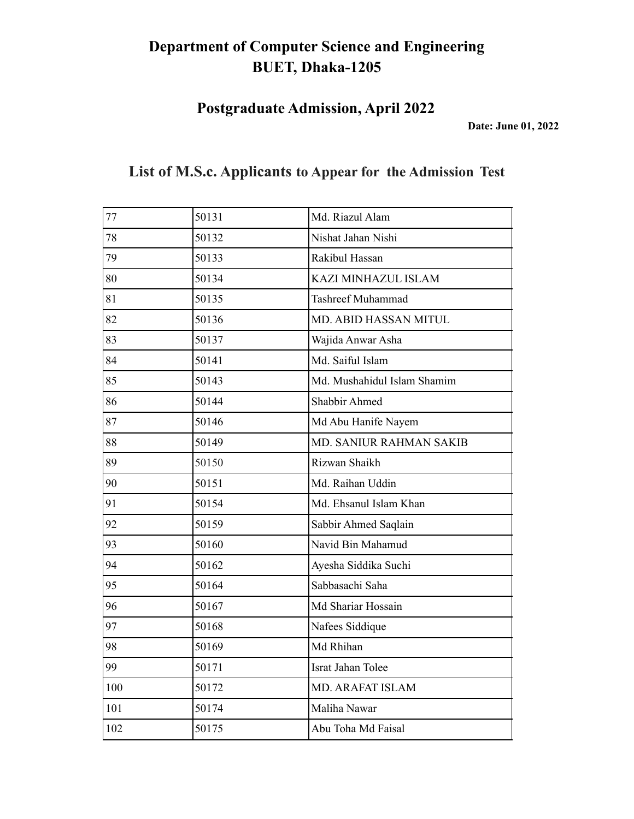**Postgraduate Admission, April 2022**

**Date: June 01, 2022**

| 77  | 50131 | Md. Riazul Alam             |
|-----|-------|-----------------------------|
| 78  | 50132 | Nishat Jahan Nishi          |
| 79  | 50133 | Rakibul Hassan              |
| 80  | 50134 | KAZI MINHAZUL ISLAM         |
| 81  | 50135 | <b>Tashreef Muhammad</b>    |
| 82  | 50136 | MD. ABID HASSAN MITUL       |
| 83  | 50137 | Wajida Anwar Asha           |
| 84  | 50141 | Md. Saiful Islam            |
| 85  | 50143 | Md. Mushahidul Islam Shamim |
| 86  | 50144 | Shabbir Ahmed               |
| 87  | 50146 | Md Abu Hanife Nayem         |
| 88  | 50149 | MD. SANIUR RAHMAN SAKIB     |
| 89  | 50150 | Rizwan Shaikh               |
| 90  | 50151 | Md. Raihan Uddin            |
| 91  | 50154 | Md. Ehsanul Islam Khan      |
| 92  | 50159 | Sabbir Ahmed Saqlain        |
| 93  | 50160 | Navid Bin Mahamud           |
| 94  | 50162 | Ayesha Siddika Suchi        |
| 95  | 50164 | Sabbasachi Saha             |
| 96  | 50167 | Md Shariar Hossain          |
| 97  | 50168 | Nafees Siddique             |
| 98  | 50169 | Md Rhihan                   |
| 99  | 50171 | Israt Jahan Tolee           |
| 100 | 50172 | <b>MD. ARAFAT ISLAM</b>     |
| 101 | 50174 | Maliha Nawar                |
| 102 | 50175 | Abu Toha Md Faisal          |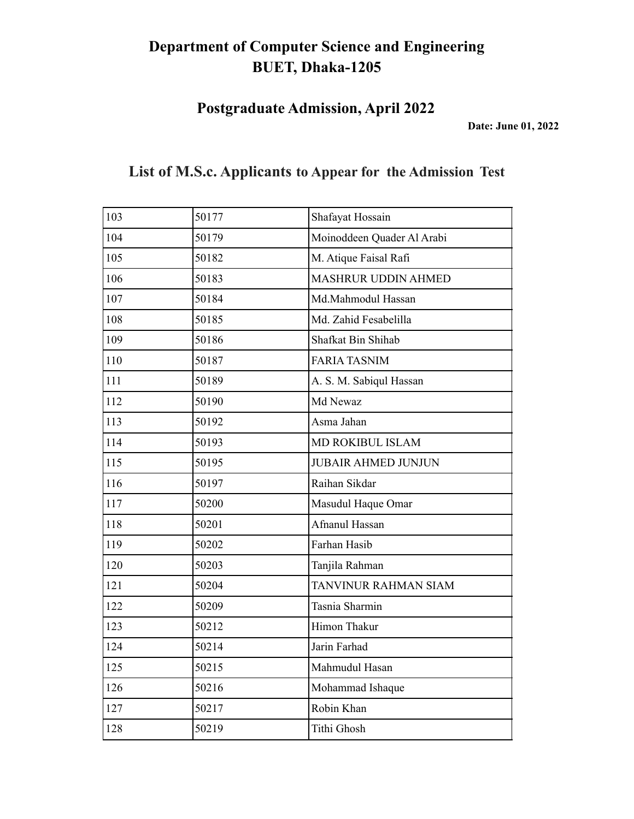**Postgraduate Admission, April 2022**

**Date: June 01, 2022**

| 103 | 50177 | Shafayat Hossain            |
|-----|-------|-----------------------------|
| 104 | 50179 | Moinoddeen Quader Al Arabi  |
| 105 | 50182 | M. Atique Faisal Rafi       |
| 106 | 50183 | <b>MASHRUR UDDIN AHMED</b>  |
| 107 | 50184 | Md.Mahmodul Hassan          |
| 108 | 50185 | Md. Zahid Fesabelilla       |
| 109 | 50186 | Shafkat Bin Shihab          |
| 110 | 50187 | <b>FARIA TASNIM</b>         |
| 111 | 50189 | A. S. M. Sabiqul Hassan     |
| 112 | 50190 | Md Newaz                    |
| 113 | 50192 | Asma Jahan                  |
| 114 | 50193 | MD ROKIBUL ISLAM            |
| 115 | 50195 | <b>JUBAIR AHMED JUNJUN</b>  |
| 116 | 50197 | Raihan Sikdar               |
| 117 | 50200 | Masudul Haque Omar          |
| 118 | 50201 | Afnanul Hassan              |
| 119 | 50202 | Farhan Hasib                |
| 120 | 50203 | Tanjila Rahman              |
| 121 | 50204 | <b>TANVINUR RAHMAN SIAM</b> |
| 122 | 50209 | Tasnia Sharmin              |
| 123 | 50212 | Himon Thakur                |
| 124 | 50214 | Jarin Farhad                |
| 125 | 50215 | Mahmudul Hasan              |
| 126 | 50216 | Mohammad Ishaque            |
| 127 | 50217 | Robin Khan                  |
| 128 | 50219 | <b>Tithi Ghosh</b>          |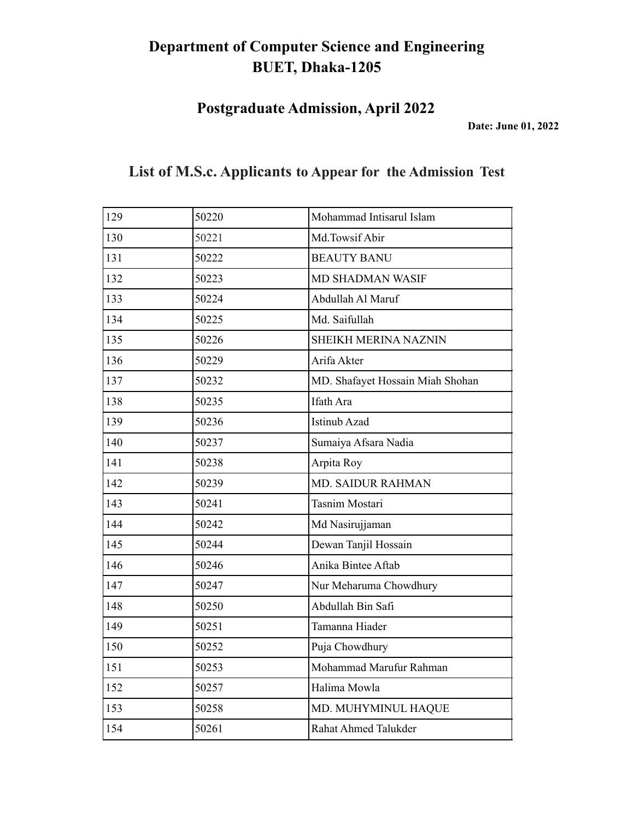**Postgraduate Admission, April 2022**

**Date: June 01, 2022**

| 129 | 50220 | Mohammad Intisarul Islam         |
|-----|-------|----------------------------------|
| 130 | 50221 | Md.Towsif Abir                   |
| 131 | 50222 | <b>BEAUTY BANU</b>               |
| 132 | 50223 | <b>MD SHADMAN WASIF</b>          |
| 133 | 50224 | Abdullah Al Maruf                |
| 134 | 50225 | Md. Saifullah                    |
| 135 | 50226 | <b>SHEIKH MERINA NAZNIN</b>      |
| 136 | 50229 | Arifa Akter                      |
| 137 | 50232 | MD. Shafayet Hossain Miah Shohan |
| 138 | 50235 | Ifath Ara                        |
| 139 | 50236 | <b>Istinub Azad</b>              |
| 140 | 50237 | Sumaiya Afsara Nadia             |
| 141 | 50238 | Arpita Roy                       |
| 142 | 50239 | MD. SAIDUR RAHMAN                |
| 143 | 50241 | Tasnim Mostari                   |
| 144 | 50242 | Md Nasirujjaman                  |
| 145 | 50244 | Dewan Tanjil Hossain             |
| 146 | 50246 | Anika Bintee Aftab               |
| 147 | 50247 | Nur Meharuma Chowdhury           |
| 148 | 50250 | Abdullah Bin Safi                |
| 149 | 50251 | Tamanna Hiader                   |
| 150 | 50252 | Puja Chowdhury                   |
| 151 | 50253 | Mohammad Marufur Rahman          |
| 152 | 50257 | Halima Mowla                     |
| 153 | 50258 | MD. MUHYMINUL HAQUE              |
| 154 | 50261 | <b>Rahat Ahmed Talukder</b>      |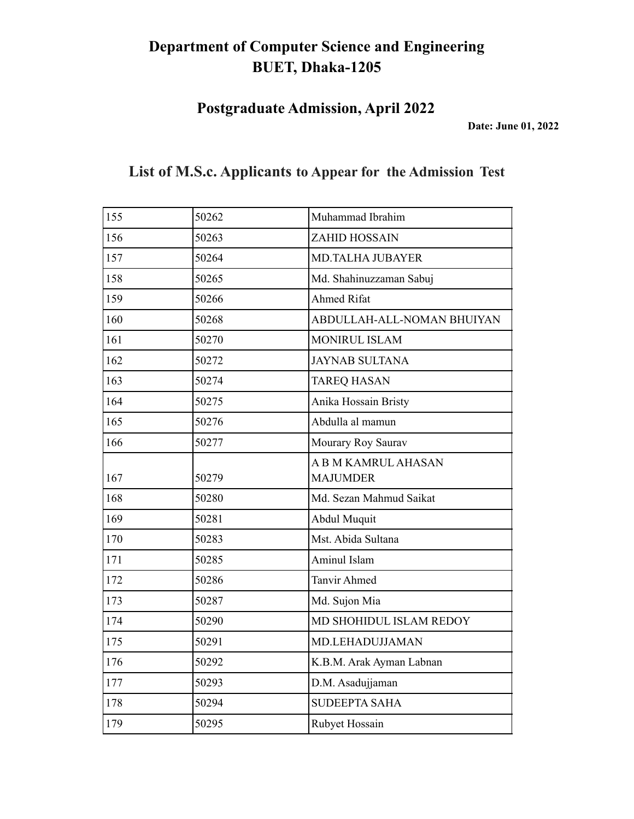**Postgraduate Admission, April 2022**

**Date: June 01, 2022**

|  |  |  | List of M.S.c. Applicants to Appear for the Admission Test |  |
|--|--|--|------------------------------------------------------------|--|
|--|--|--|------------------------------------------------------------|--|

| 50262 | Muhammad Ibrahim           |
|-------|----------------------------|
| 50263 | <b>ZAHID HOSSAIN</b>       |
| 50264 | <b>MD.TALHA JUBAYER</b>    |
| 50265 | Md. Shahinuzzaman Sabuj    |
| 50266 | <b>Ahmed Rifat</b>         |
| 50268 | ABDULLAH-ALL-NOMAN BHUIYAN |
| 50270 | <b>MONIRUL ISLAM</b>       |
| 50272 | <b>JAYNAB SULTANA</b>      |
| 50274 | <b>TAREQ HASAN</b>         |
| 50275 | Anika Hossain Bristy       |
| 50276 | Abdulla al mamun           |
| 50277 | Mourary Roy Saurav         |
|       | <b>ABM KAMRUL AHASAN</b>   |
|       | <b>MAJUMDER</b>            |
| 50280 | Md. Sezan Mahmud Saikat    |
| 50281 | Abdul Muquit               |
| 50283 | Mst. Abida Sultana         |
| 50285 | Aminul Islam               |
| 50286 | <b>Tanvir Ahmed</b>        |
| 50287 | Md. Sujon Mia              |
| 50290 | MD SHOHIDUL ISLAM REDOY    |
| 50291 | MD.LEHADUJJAMAN            |
| 50292 | K.B.M. Arak Ayman Labnan   |
| 50293 | D.M. Asadujjaman           |
| 50294 | <b>SUDEEPTA SAHA</b>       |
| 50295 | Rubyet Hossain             |
|       | 50279                      |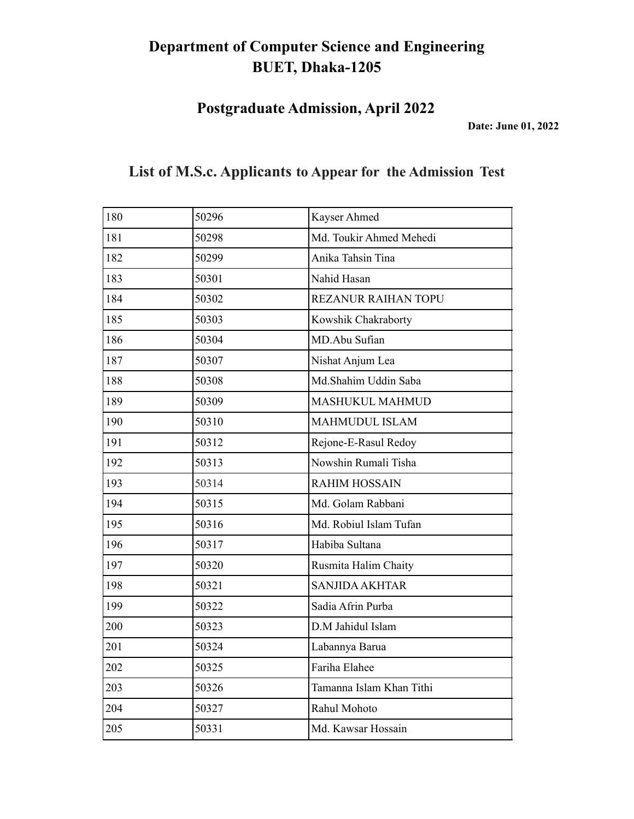**Postgraduate Admission, April 2022**

**Date: June 01, 2022**

| 180 | 50296 | Kayser Ahmed               |
|-----|-------|----------------------------|
| 181 | 50298 | Md. Toukir Ahmed Mehedi    |
| 182 | 50299 | Anika Tahsin Tina          |
| 183 | 50301 | Nahid Hasan                |
| 184 | 50302 | <b>REZANUR RAIHAN TOPU</b> |
| 185 | 50303 | Kowshik Chakraborty        |
| 186 | 50304 | MD.Abu Sufian              |
| 187 | 50307 | Nishat Anjum Lea           |
| 188 | 50308 | Md.Shahim Uddin Saba       |
| 189 | 50309 | <b>MASHUKUL MAHMUD</b>     |
| 190 | 50310 | <b>MAHMUDUL ISLAM</b>      |
| 191 | 50312 | Rejone-E-Rasul Redoy       |
| 192 | 50313 | Nowshin Rumali Tisha       |
| 193 | 50314 | <b>RAHIM HOSSAIN</b>       |
| 194 | 50315 | Md. Golam Rabbani          |
| 195 | 50316 | Md. Robiul Islam Tufan     |
| 196 | 50317 | Habiba Sultana             |
| 197 | 50320 | Rusmita Halim Chaity       |
| 198 | 50321 | <b>SANJIDA AKHTAR</b>      |
| 199 | 50322 | Sadia Afrin Purba          |
| 200 | 50323 | D.M Jahidul Islam          |
| 201 | 50324 | Labannya Barua             |
| 202 | 50325 | Fariha Elahee              |
| 203 | 50326 | Tamanna Islam Khan Tithi   |
| 204 | 50327 | Rahul Mohoto               |
| 205 | 50331 | Md. Kawsar Hossain         |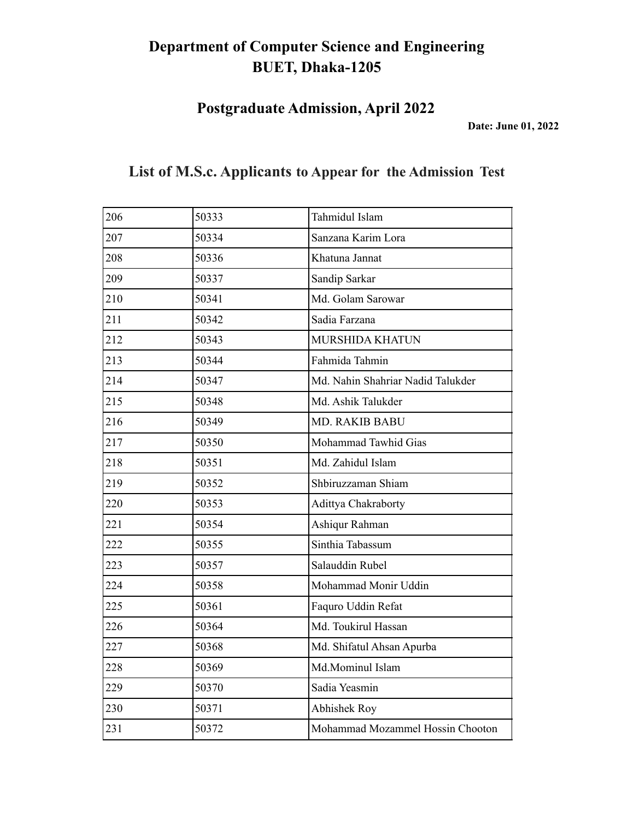**Postgraduate Admission, April 2022**

**Date: June 01, 2022**

| 206 | 50333 | Tahmidul Islam                    |
|-----|-------|-----------------------------------|
| 207 | 50334 | Sanzana Karim Lora                |
| 208 | 50336 | Khatuna Jannat                    |
| 209 | 50337 | Sandip Sarkar                     |
| 210 | 50341 | Md. Golam Sarowar                 |
| 211 | 50342 | Sadia Farzana                     |
| 212 | 50343 | <b>MURSHIDA KHATUN</b>            |
| 213 | 50344 | Fahmida Tahmin                    |
| 214 | 50347 | Md. Nahin Shahriar Nadid Talukder |
| 215 | 50348 | Md. Ashik Talukder                |
| 216 | 50349 | MD. RAKIB BABU                    |
| 217 | 50350 | Mohammad Tawhid Gias              |
| 218 | 50351 | Md. Zahidul Islam                 |
| 219 | 50352 | Shbiruzzaman Shiam                |
| 220 | 50353 | Adittya Chakraborty               |
| 221 | 50354 | Ashiqur Rahman                    |
| 222 | 50355 | Sinthia Tabassum                  |
| 223 | 50357 | Salauddin Rubel                   |
| 224 | 50358 | Mohammad Monir Uddin              |
| 225 | 50361 | Faquro Uddin Refat                |
| 226 | 50364 | Md. Toukirul Hassan               |
| 227 | 50368 | Md. Shifatul Ahsan Apurba         |
| 228 | 50369 | Md.Mominul Islam                  |
| 229 | 50370 | Sadia Yeasmin                     |
| 230 | 50371 | Abhishek Roy                      |
| 231 | 50372 | Mohammad Mozammel Hossin Chooton  |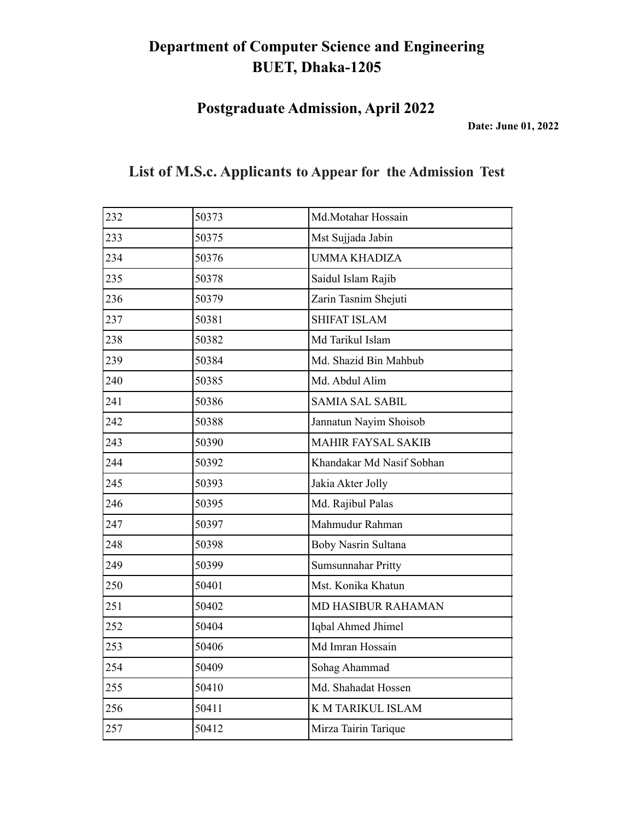**Postgraduate Admission, April 2022**

**Date: June 01, 2022**

| 232 | 50373 | Md.Motahar Hossain        |
|-----|-------|---------------------------|
| 233 | 50375 | Mst Sujjada Jabin         |
| 234 | 50376 | <b>UMMA KHADIZA</b>       |
| 235 | 50378 | Saidul Islam Rajib        |
| 236 | 50379 | Zarin Tasnim Shejuti      |
| 237 | 50381 | <b>SHIFAT ISLAM</b>       |
| 238 | 50382 | Md Tarikul Islam          |
| 239 | 50384 | Md. Shazid Bin Mahbub     |
| 240 | 50385 | Md. Abdul Alim            |
| 241 | 50386 | <b>SAMIA SAL SABIL</b>    |
| 242 | 50388 | Jannatun Nayim Shoisob    |
| 243 | 50390 | <b>MAHIR FAYSAL SAKIB</b> |
| 244 | 50392 | Khandakar Md Nasif Sobhan |
| 245 | 50393 | Jakia Akter Jolly         |
| 246 | 50395 | Md. Rajibul Palas         |
| 247 | 50397 | Mahmudur Rahman           |
| 248 | 50398 | Boby Nasrin Sultana       |
| 249 | 50399 | Sumsunnahar Pritty        |
| 250 | 50401 | Mst. Konika Khatun        |
| 251 | 50402 | <b>MD HASIBUR RAHAMAN</b> |
| 252 | 50404 | Iqbal Ahmed Jhimel        |
| 253 | 50406 | Md Imran Hossain          |
| 254 | 50409 | Sohag Ahammad             |
| 255 | 50410 | Md. Shahadat Hossen       |
| 256 | 50411 | K M TARIKUL ISLAM         |
| 257 | 50412 | Mirza Tairin Tarique      |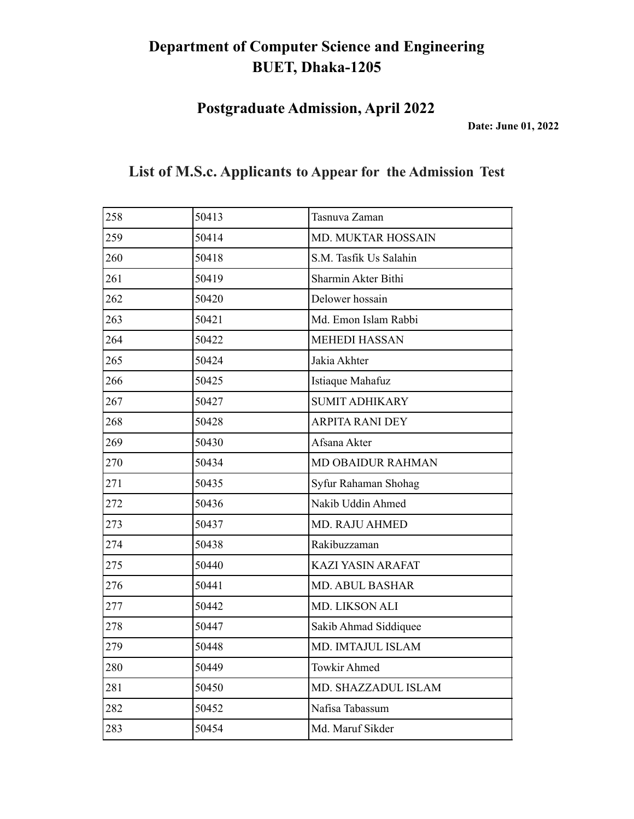**Postgraduate Admission, April 2022**

**Date: June 01, 2022**

| 258 | 50413 | Tasnuva Zaman            |
|-----|-------|--------------------------|
| 259 | 50414 | MD. MUKTAR HOSSAIN       |
| 260 | 50418 | S.M. Tasfik Us Salahin   |
| 261 | 50419 | Sharmin Akter Bithi      |
| 262 | 50420 | Delower hossain          |
| 263 | 50421 | Md. Emon Islam Rabbi     |
| 264 | 50422 | <b>MEHEDI HASSAN</b>     |
| 265 | 50424 | Jakia Akhter             |
| 266 | 50425 | Istiaque Mahafuz         |
| 267 | 50427 | <b>SUMIT ADHIKARY</b>    |
| 268 | 50428 | <b>ARPITA RANI DEY</b>   |
| 269 | 50430 | Afsana Akter             |
| 270 | 50434 | <b>MD OBAIDUR RAHMAN</b> |
| 271 | 50435 | Syfur Rahaman Shohag     |
| 272 | 50436 | Nakib Uddin Ahmed        |
| 273 | 50437 | MD. RAJU AHMED           |
| 274 | 50438 | Rakibuzzaman             |
| 275 | 50440 | <b>KAZI YASIN ARAFAT</b> |
| 276 | 50441 | <b>MD. ABUL BASHAR</b>   |
| 277 | 50442 | MD. LIKSON ALI           |
| 278 | 50447 | Sakib Ahmad Siddiquee    |
| 279 | 50448 | MD. IMTAJUL ISLAM        |
| 280 | 50449 | <b>Towkir Ahmed</b>      |
| 281 | 50450 | MD. SHAZZADUL ISLAM      |
| 282 | 50452 | Nafisa Tabassum          |
| 283 | 50454 | Md. Maruf Sikder         |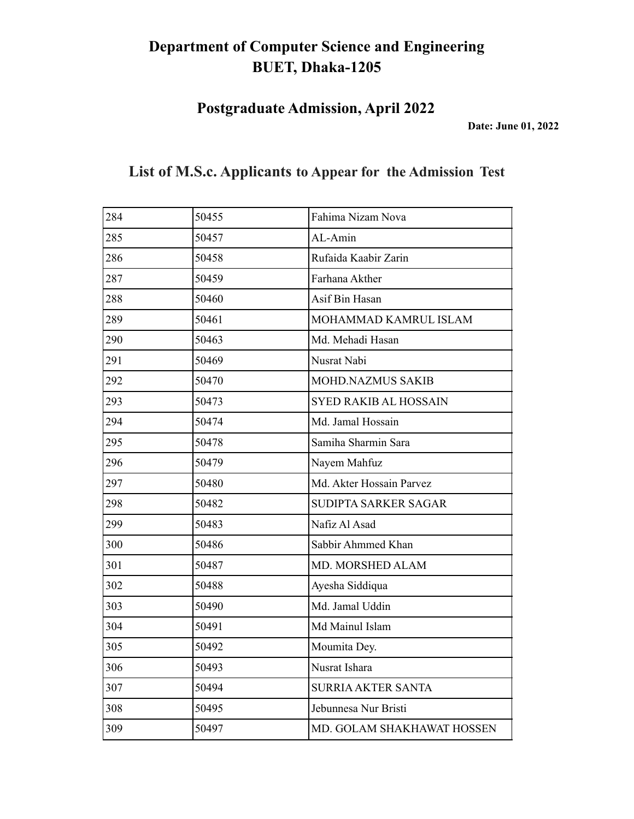**Postgraduate Admission, April 2022**

**Date: June 01, 2022**

| 284 | 50455 | Fahima Nizam Nova            |
|-----|-------|------------------------------|
| 285 | 50457 | AL-Amin                      |
| 286 | 50458 | Rufaida Kaabir Zarin         |
| 287 | 50459 | Farhana Akther               |
| 288 | 50460 | Asif Bin Hasan               |
| 289 | 50461 | MOHAMMAD KAMRUL ISLAM        |
| 290 | 50463 | Md. Mehadi Hasan             |
| 291 | 50469 | Nusrat Nabi                  |
| 292 | 50470 | <b>MOHD.NAZMUS SAKIB</b>     |
| 293 | 50473 | <b>SYED RAKIB AL HOSSAIN</b> |
| 294 | 50474 | Md. Jamal Hossain            |
| 295 | 50478 | Samiha Sharmin Sara          |
| 296 | 50479 | Nayem Mahfuz                 |
| 297 | 50480 | Md. Akter Hossain Parvez     |
| 298 | 50482 | SUDIPTA SARKER SAGAR         |
| 299 | 50483 | Nafiz Al Asad                |
| 300 | 50486 | Sabbir Ahmmed Khan           |
| 301 | 50487 | MD. MORSHED ALAM             |
| 302 | 50488 | Ayesha Siddiqua              |
| 303 | 50490 | Md. Jamal Uddin              |
| 304 | 50491 | Md Mainul Islam              |
| 305 | 50492 | Moumita Dey.                 |
| 306 | 50493 | Nusrat Ishara                |
| 307 | 50494 | <b>SURRIA AKTER SANTA</b>    |
| 308 | 50495 | Jebunnesa Nur Bristi         |

309 50497 MD. GOLAM SHAKHAWAT HOSSEN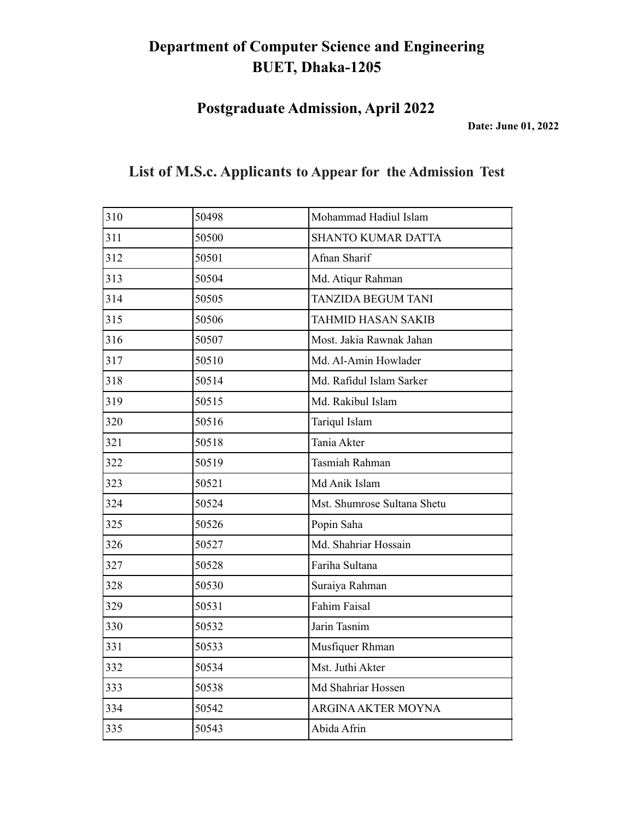**Postgraduate Admission, April 2022**

**Date: June 01, 2022**

| 310 | 50498 | Mohammad Hadiul Islam       |
|-----|-------|-----------------------------|
| 311 | 50500 | <b>SHANTO KUMAR DATTA</b>   |
| 312 | 50501 | Afnan Sharif                |
| 313 | 50504 | Md. Atiqur Rahman           |
| 314 | 50505 | <b>TANZIDA BEGUM TANI</b>   |
| 315 | 50506 | <b>TAHMID HASAN SAKIB</b>   |
| 316 | 50507 | Most. Jakia Rawnak Jahan    |
| 317 | 50510 | Md. Al-Amin Howlader        |
| 318 | 50514 | Md. Rafidul Islam Sarker    |
| 319 | 50515 | Md. Rakibul Islam           |
| 320 | 50516 | Tariqul Islam               |
| 321 | 50518 | Tania Akter                 |
| 322 | 50519 | Tasmiah Rahman              |
| 323 | 50521 | Md Anik Islam               |
| 324 | 50524 | Mst. Shumrose Sultana Shetu |
| 325 | 50526 | Popin Saha                  |
| 326 | 50527 | Md. Shahriar Hossain        |
| 327 | 50528 | Fariha Sultana              |
| 328 | 50530 | Suraiya Rahman              |
| 329 | 50531 | <b>Fahim Faisal</b>         |
| 330 | 50532 | Jarin Tasnim                |
| 331 | 50533 | Musfiquer Rhman             |
| 332 | 50534 | Mst. Juthi Akter            |
| 333 | 50538 | Md Shahriar Hossen          |
| 334 | 50542 | ARGINA AKTER MOYNA          |
| 335 | 50543 | Abida Afrin                 |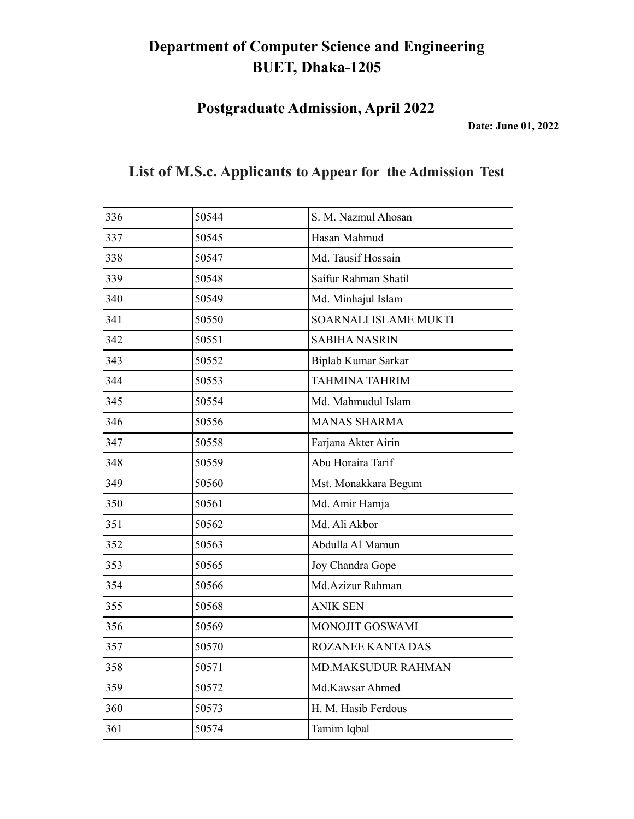**Postgraduate Admission, April 2022**

**Date: June 01, 2022**

| 336 | 50544 | S. M. Nazmul Ahosan   |
|-----|-------|-----------------------|
| 337 | 50545 | Hasan Mahmud          |
| 338 | 50547 | Md. Tausif Hossain    |
| 339 | 50548 | Saifur Rahman Shatil  |
| 340 | 50549 | Md. Minhajul Islam    |
| 341 | 50550 | SOARNALI ISLAME MUKTI |
| 342 | 50551 | <b>SABIHA NASRIN</b>  |
| 343 | 50552 | Biplab Kumar Sarkar   |
| 344 | 50553 | <b>TAHMINA TAHRIM</b> |
| 345 | 50554 | Md. Mahmudul Islam    |
| 346 | 50556 | <b>MANAS SHARMA</b>   |
| 347 | 50558 | Farjana Akter Airin   |
| 348 | 50559 | Abu Horaira Tarif     |
| 349 | 50560 | Mst. Monakkara Begum  |
| 350 | 50561 | Md. Amir Hamja        |
| 351 | 50562 | Md. Ali Akbor         |
| 352 | 50563 | Abdulla Al Mamun      |
| 353 | 50565 | Joy Chandra Gope      |
| 354 | 50566 | Md.Azizur Rahman      |
| 355 | 50568 | <b>ANIK SEN</b>       |
| 356 | 50569 | MONOJIT GOSWAMI       |
| 357 | 50570 | ROZANEE KANTA DAS     |
| 358 | 50571 | MD.MAKSUDUR RAHMAN    |
| 359 | 50572 | Md.Kawsar Ahmed       |
| 360 | 50573 | H. M. Hasib Ferdous   |
| 361 | 50574 | Tamim Iqbal           |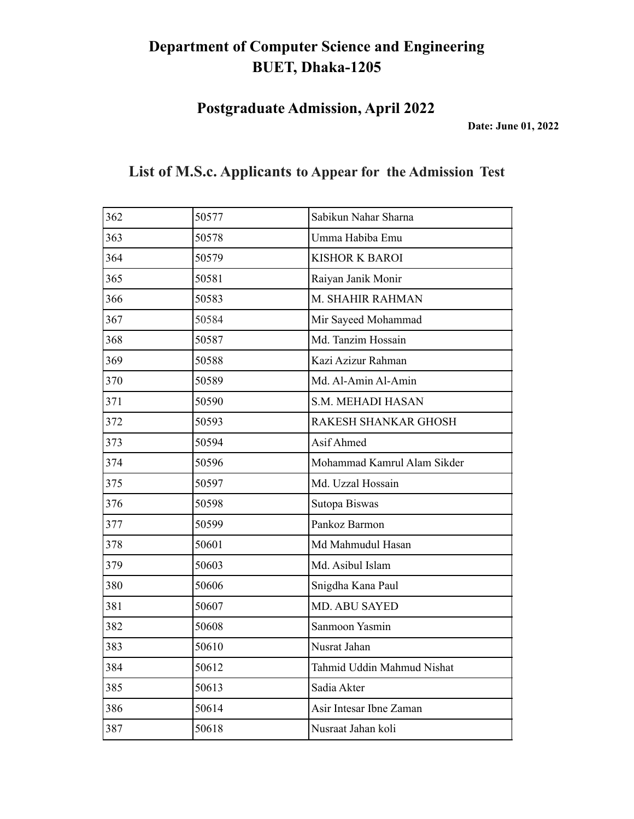**Postgraduate Admission, April 2022**

**Date: June 01, 2022**

| 362 | 50577 | Sabikun Nahar Sharna        |
|-----|-------|-----------------------------|
| 363 | 50578 | Umma Habiba Emu             |
| 364 | 50579 | <b>KISHOR K BAROI</b>       |
| 365 | 50581 | Raiyan Janik Monir          |
| 366 | 50583 | M. SHAHIR RAHMAN            |
| 367 | 50584 | Mir Sayeed Mohammad         |
| 368 | 50587 | Md. Tanzim Hossain          |
| 369 | 50588 | Kazi Azizur Rahman          |
| 370 | 50589 | Md. Al-Amin Al-Amin         |
| 371 | 50590 | S.M. MEHADI HASAN           |
| 372 | 50593 | RAKESH SHANKAR GHOSH        |
| 373 | 50594 | Asif Ahmed                  |
| 374 | 50596 | Mohammad Kamrul Alam Sikder |
| 375 | 50597 | Md. Uzzal Hossain           |
| 376 | 50598 | Sutopa Biswas               |
| 377 | 50599 | Pankoz Barmon               |
| 378 | 50601 | Md Mahmudul Hasan           |
| 379 | 50603 | Md. Asibul Islam            |
| 380 | 50606 | Snigdha Kana Paul           |
| 381 | 50607 | <b>MD. ABU SAYED</b>        |
| 382 | 50608 | Sanmoon Yasmin              |
| 383 | 50610 | Nusrat Jahan                |
| 384 | 50612 | Tahmid Uddin Mahmud Nishat  |
| 385 | 50613 | Sadia Akter                 |
| 386 | 50614 | Asir Intesar Ibne Zaman     |
| 387 | 50618 | Nusraat Jahan koli          |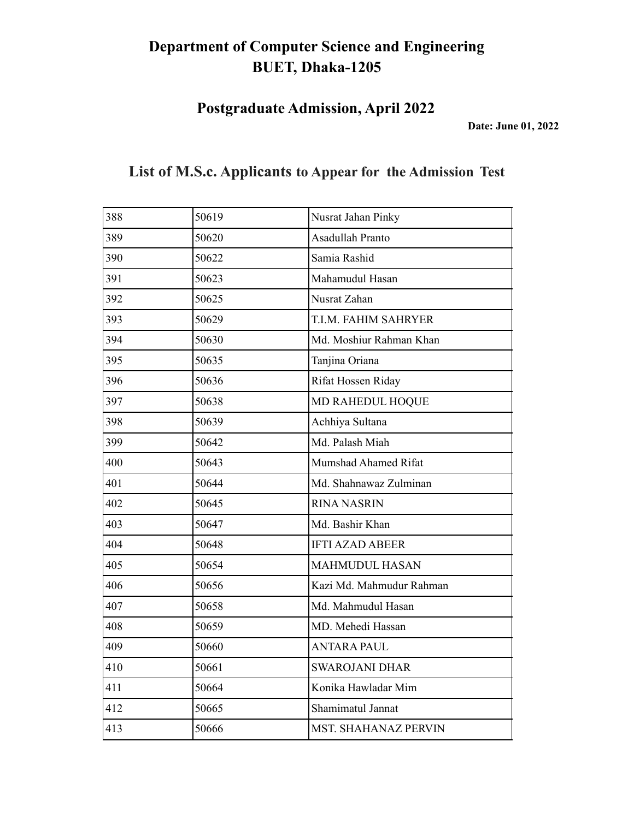**Postgraduate Admission, April 2022**

**Date: June 01, 2022**

| 388 | 50619 | Nusrat Jahan Pinky          |
|-----|-------|-----------------------------|
| 389 | 50620 | Asadullah Pranto            |
| 390 | 50622 | Samia Rashid                |
| 391 | 50623 | Mahamudul Hasan             |
| 392 | 50625 | Nusrat Zahan                |
| 393 | 50629 | T.I.M. FAHIM SAHRYER        |
| 394 | 50630 | Md. Moshiur Rahman Khan     |
| 395 | 50635 | Tanjina Oriana              |
| 396 | 50636 | Rifat Hossen Riday          |
| 397 | 50638 | MD RAHEDUL HOQUE            |
| 398 | 50639 | Achhiya Sultana             |
| 399 | 50642 | Md. Palash Miah             |
| 400 | 50643 | Mumshad Ahamed Rifat        |
| 401 | 50644 | Md. Shahnawaz Zulminan      |
| 402 | 50645 | <b>RINA NASRIN</b>          |
| 403 | 50647 | Md. Bashir Khan             |
| 404 | 50648 | <b>IFTI AZAD ABEER</b>      |
| 405 | 50654 | <b>MAHMUDUL HASAN</b>       |
| 406 | 50656 | Kazi Md. Mahmudur Rahman    |
| 407 | 50658 | Md. Mahmudul Hasan          |
| 408 | 50659 | MD. Mehedi Hassan           |
| 409 | 50660 | <b>ANTARA PAUL</b>          |
| 410 | 50661 | <b>SWAROJANI DHAR</b>       |
| 411 | 50664 | Konika Hawladar Mim         |
| 412 | 50665 | Shamimatul Jannat           |
| 413 | 50666 | <b>MST. SHAHANAZ PERVIN</b> |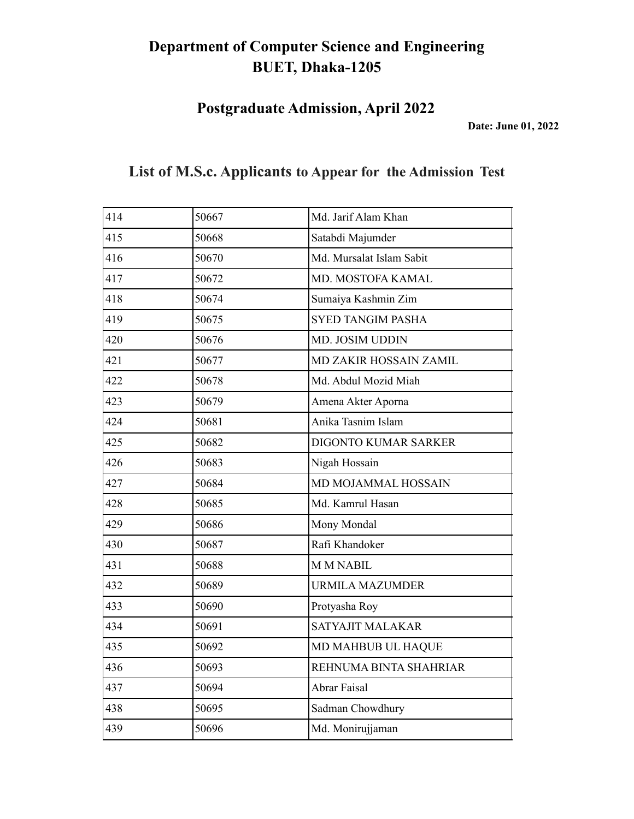**Postgraduate Admission, April 2022**

**Date: June 01, 2022**

|  |  |  | List of M.S.c. Applicants to Appear for the Admission Test |  |
|--|--|--|------------------------------------------------------------|--|
|--|--|--|------------------------------------------------------------|--|

| 414 | 50667 | Md. Jarif Alam Khan      |
|-----|-------|--------------------------|
| 415 | 50668 | Satabdi Majumder         |
| 416 | 50670 | Md. Mursalat Islam Sabit |
| 417 | 50672 | MD. MOSTOFA KAMAL        |
| 418 | 50674 | Sumaiya Kashmin Zim      |
| 419 | 50675 | <b>SYED TANGIM PASHA</b> |
| 420 | 50676 | MD. JOSIM UDDIN          |
| 421 | 50677 | MD ZAKIR HOSSAIN ZAMIL   |
| 422 | 50678 | Md. Abdul Mozid Miah     |
| 423 | 50679 | Amena Akter Aporna       |
| 424 | 50681 | Anika Tasnim Islam       |
| 425 | 50682 | DIGONTO KUMAR SARKER     |
| 426 | 50683 | Nigah Hossain            |
| 427 | 50684 | MD MOJAMMAL HOSSAIN      |
| 428 | 50685 | Md. Kamrul Hasan         |
| 429 | 50686 | Mony Mondal              |
| 430 | 50687 | Rafi Khandoker           |
| 431 | 50688 | <b>M M NABIL</b>         |
| 432 | 50689 | <b>URMILA MAZUMDER</b>   |
| 433 | 50690 | Protyasha Roy            |
| 434 | 50691 | SATYAJIT MALAKAR         |
| 435 | 50692 | MD MAHBUB UL HAQUE       |
| 436 | 50693 | REHNUMA BINTA SHAHRIAR   |
| 437 | 50694 | <b>Abrar Faisal</b>      |
| 438 | 50695 | Sadman Chowdhury         |
| 439 | 50696 | Md. Monirujjaman         |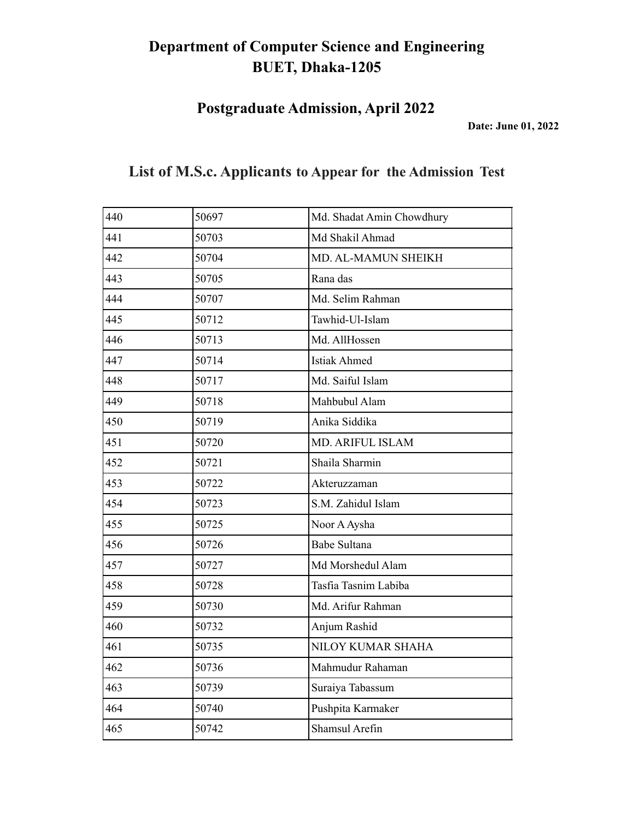**Postgraduate Admission, April 2022**

**Date: June 01, 2022**

| 440 | 50697 | Md. Shadat Amin Chowdhury |
|-----|-------|---------------------------|
| 441 | 50703 | Md Shakil Ahmad           |
| 442 | 50704 | MD. AL-MAMUN SHEIKH       |
| 443 | 50705 | Rana das                  |
| 444 | 50707 | Md. Selim Rahman          |
| 445 | 50712 | Tawhid-Ul-Islam           |
| 446 | 50713 | Md. AllHossen             |
| 447 | 50714 | <b>Istiak Ahmed</b>       |
| 448 | 50717 | Md. Saiful Islam          |
| 449 | 50718 | Mahbubul Alam             |
| 450 | 50719 | Anika Siddika             |
| 451 | 50720 | <b>MD. ARIFUL ISLAM</b>   |
| 452 | 50721 | Shaila Sharmin            |
| 453 | 50722 | Akteruzzaman              |
| 454 | 50723 | S.M. Zahidul Islam        |
| 455 | 50725 | Noor A Aysha              |
| 456 | 50726 | <b>Babe Sultana</b>       |
| 457 | 50727 | Md Morshedul Alam         |
| 458 | 50728 | Tasfia Tasnim Labiba      |
| 459 | 50730 | Md. Arifur Rahman         |
| 460 | 50732 | Anjum Rashid              |
| 461 | 50735 | NILOY KUMAR SHAHA         |
| 462 | 50736 | Mahmudur Rahaman          |
| 463 | 50739 | Suraiya Tabassum          |
| 464 | 50740 | Pushpita Karmaker         |
| 465 | 50742 | Shamsul Arefin            |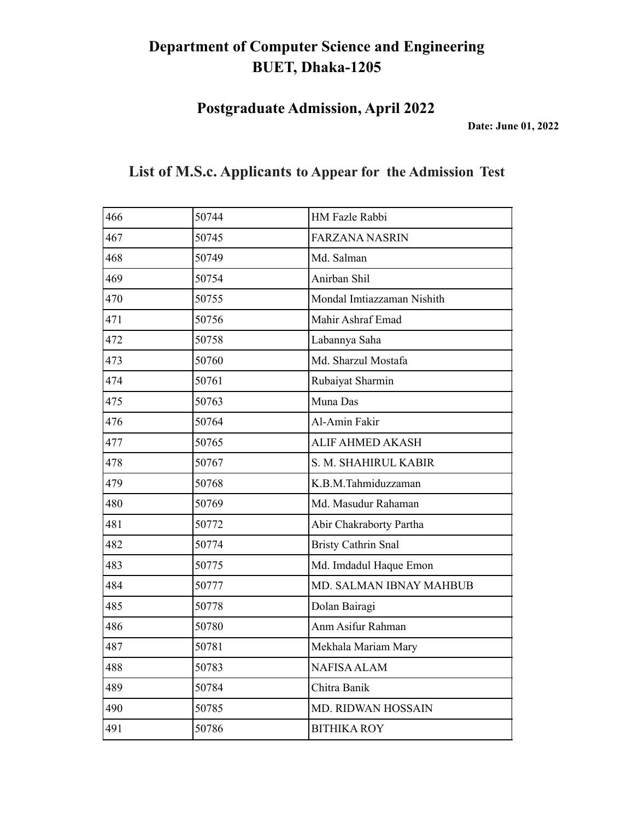**Postgraduate Admission, April 2022**

**Date: June 01, 2022**

| 466 | 50744 | HM Fazle Rabbi             |
|-----|-------|----------------------------|
| 467 | 50745 | <b>FARZANA NASRIN</b>      |
| 468 | 50749 | Md. Salman                 |
| 469 | 50754 | Anirban Shil               |
| 470 | 50755 | Mondal Imtiazzaman Nishith |
| 471 | 50756 | Mahir Ashraf Emad          |
| 472 | 50758 | Labannya Saha              |
| 473 | 50760 | Md. Sharzul Mostafa        |
| 474 | 50761 | Rubaiyat Sharmin           |
| 475 | 50763 | Muna Das                   |
| 476 | 50764 | Al-Amin Fakir              |
| 477 | 50765 | <b>ALIF AHMED AKASH</b>    |
| 478 | 50767 | S. M. SHAHIRUL KABIR       |
| 479 | 50768 | K.B.M.Tahmiduzzaman        |
| 480 | 50769 | Md. Masudur Rahaman        |
| 481 | 50772 | Abir Chakraborty Partha    |
| 482 | 50774 | <b>Bristy Cathrin Snal</b> |
| 483 | 50775 | Md. Imdadul Haque Emon     |
| 484 | 50777 | MD. SALMAN IBNAY MAHBUB    |
| 485 | 50778 | Dolan Bairagi              |
| 486 | 50780 | Anm Asifur Rahman          |
| 487 | 50781 | Mekhala Mariam Mary        |
| 488 | 50783 | <b>NAFISA ALAM</b>         |
| 489 | 50784 | Chitra Banik               |
| 490 | 50785 | <b>MD. RIDWAN HOSSAIN</b>  |
| 491 | 50786 | <b>BITHIKA ROY</b>         |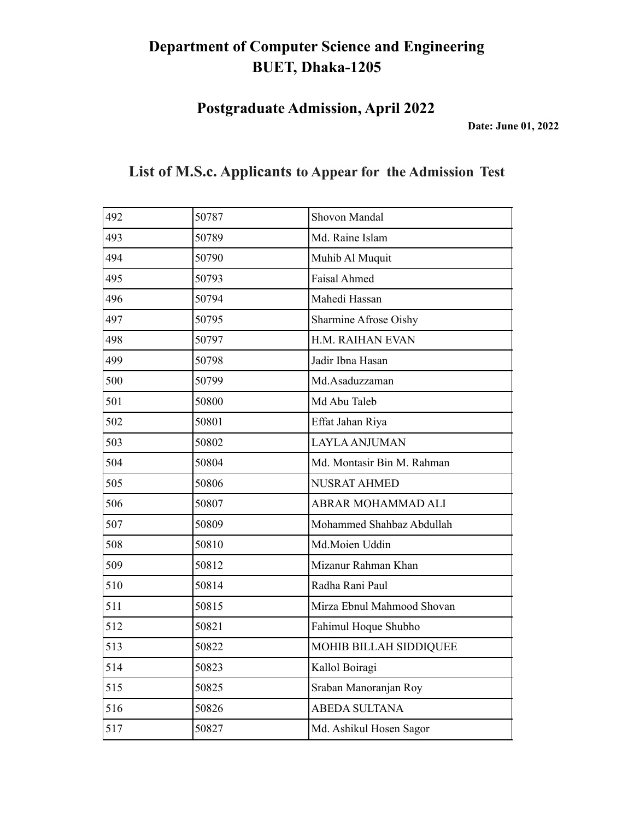**Postgraduate Admission, April 2022**

**Date: June 01, 2022**

| 492 | 50787 | Shovon Mandal              |
|-----|-------|----------------------------|
| 493 | 50789 | Md. Raine Islam            |
| 494 | 50790 | Muhib Al Muquit            |
| 495 | 50793 | <b>Faisal Ahmed</b>        |
| 496 | 50794 | Mahedi Hassan              |
| 497 | 50795 | Sharmine Afrose Oishy      |
| 498 | 50797 | H.M. RAIHAN EVAN           |
| 499 | 50798 | Jadir Ibna Hasan           |
| 500 | 50799 | Md.Asaduzzaman             |
| 501 | 50800 | Md Abu Taleb               |
| 502 | 50801 | Effat Jahan Riya           |
| 503 | 50802 | <b>LAYLA ANJUMAN</b>       |
| 504 | 50804 | Md. Montasir Bin M. Rahman |
| 505 | 50806 | <b>NUSRAT AHMED</b>        |
| 506 | 50807 | ABRAR MOHAMMAD ALI         |
| 507 | 50809 | Mohammed Shahbaz Abdullah  |
| 508 | 50810 | Md.Moien Uddin             |
| 509 | 50812 | Mizanur Rahman Khan        |
| 510 | 50814 | Radha Rani Paul            |
| 511 | 50815 | Mirza Ebnul Mahmood Shovan |
| 512 | 50821 | Fahimul Hoque Shubho       |
| 513 | 50822 | MOHIB BILLAH SIDDIQUEE     |
| 514 | 50823 | Kallol Boiragi             |
| 515 | 50825 | Sraban Manoranjan Roy      |
| 516 | 50826 | <b>ABEDA SULTANA</b>       |
| 517 | 50827 | Md. Ashikul Hosen Sagor    |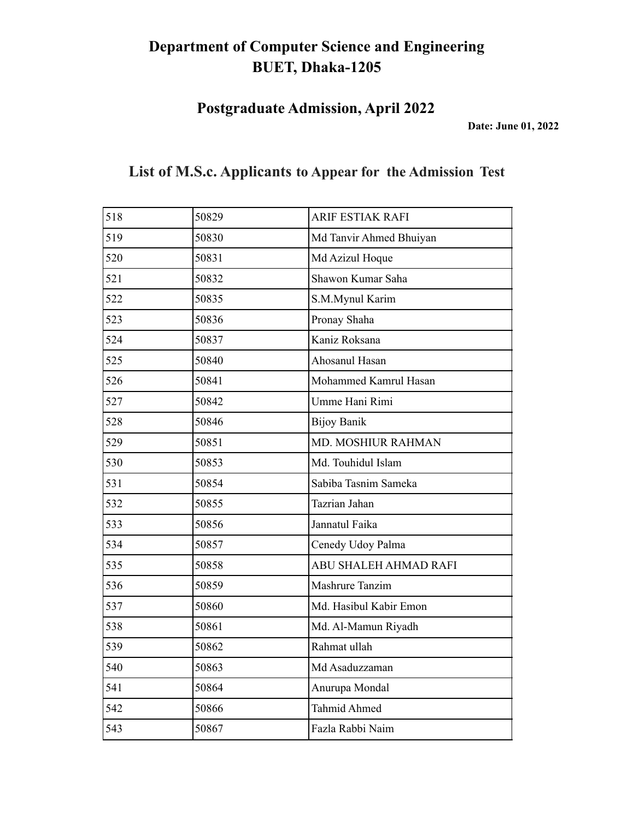**Postgraduate Admission, April 2022**

**Date: June 01, 2022**

| 518 | 50829 | <b>ARIF ESTIAK RAFI</b> |
|-----|-------|-------------------------|
| 519 | 50830 | Md Tanvir Ahmed Bhuiyan |
| 520 | 50831 | Md Azizul Hoque         |
| 521 | 50832 | Shawon Kumar Saha       |
| 522 | 50835 | S.M.Mynul Karim         |
| 523 | 50836 | Pronay Shaha            |
| 524 | 50837 | Kaniz Roksana           |
| 525 | 50840 | Ahosanul Hasan          |
| 526 | 50841 | Mohammed Kamrul Hasan   |
| 527 | 50842 | Umme Hani Rimi          |
| 528 | 50846 | <b>Bijoy Banik</b>      |
| 529 | 50851 | MD. MOSHIUR RAHMAN      |
| 530 | 50853 | Md. Touhidul Islam      |
| 531 | 50854 | Sabiba Tasnim Sameka    |
| 532 | 50855 | Tazrian Jahan           |
| 533 | 50856 | Jannatul Faika          |
| 534 | 50857 | Cenedy Udoy Palma       |
| 535 | 50858 | ABU SHALEH AHMAD RAFI   |
| 536 | 50859 | Mashrure Tanzim         |
| 537 | 50860 | Md. Hasibul Kabir Emon  |
| 538 | 50861 | Md. Al-Mamun Riyadh     |
| 539 | 50862 | Rahmat ullah            |
| 540 | 50863 | Md Asaduzzaman          |
| 541 | 50864 | Anurupa Mondal          |
| 542 | 50866 | <b>Tahmid Ahmed</b>     |
| 543 | 50867 | Fazla Rabbi Naim        |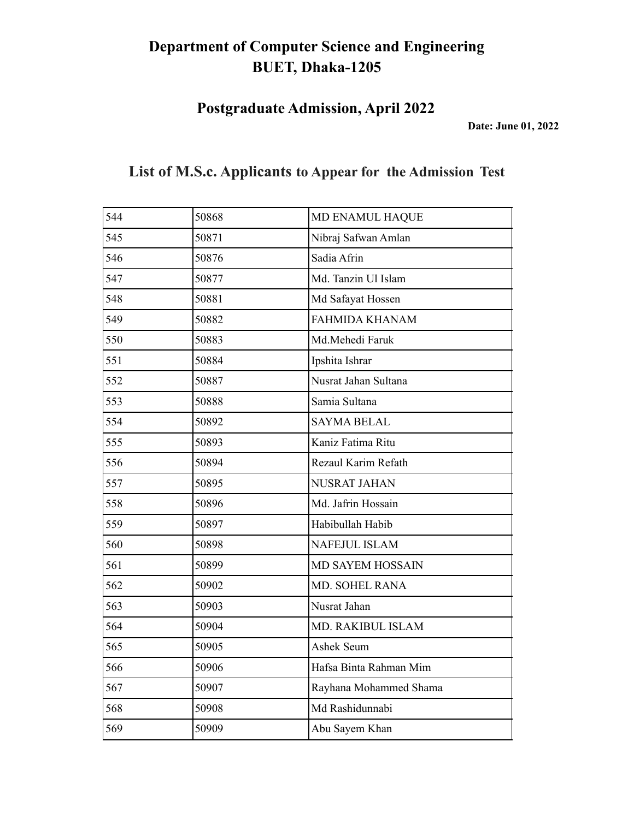**Postgraduate Admission, April 2022**

**Date: June 01, 2022**

| 544 | 50868 | MD ENAMUL HAQUE        |
|-----|-------|------------------------|
| 545 | 50871 | Nibraj Safwan Amlan    |
| 546 | 50876 | Sadia Afrin            |
| 547 | 50877 | Md. Tanzin Ul Islam    |
| 548 | 50881 | Md Safayat Hossen      |
| 549 | 50882 | <b>FAHMIDA KHANAM</b>  |
| 550 | 50883 | Md.Mehedi Faruk        |
| 551 | 50884 | Ipshita Ishrar         |
| 552 | 50887 | Nusrat Jahan Sultana   |
| 553 | 50888 | Samia Sultana          |
| 554 | 50892 | <b>SAYMA BELAL</b>     |
| 555 | 50893 | Kaniz Fatima Ritu      |
| 556 | 50894 | Rezaul Karim Refath    |
| 557 | 50895 | <b>NUSRAT JAHAN</b>    |
| 558 | 50896 | Md. Jafrin Hossain     |
| 559 | 50897 | Habibullah Habib       |
| 560 | 50898 | NAFEJUL ISLAM          |
| 561 | 50899 | MD SAYEM HOSSAIN       |
| 562 | 50902 | MD. SOHEL RANA         |
| 563 | 50903 | Nusrat Jahan           |
| 564 | 50904 | MD. RAKIBUL ISLAM      |
| 565 | 50905 | Ashek Seum             |
| 566 | 50906 | Hafsa Binta Rahman Mim |
| 567 | 50907 | Rayhana Mohammed Shama |
| 568 | 50908 | Md Rashidunnabi        |
| 569 | 50909 | Abu Sayem Khan         |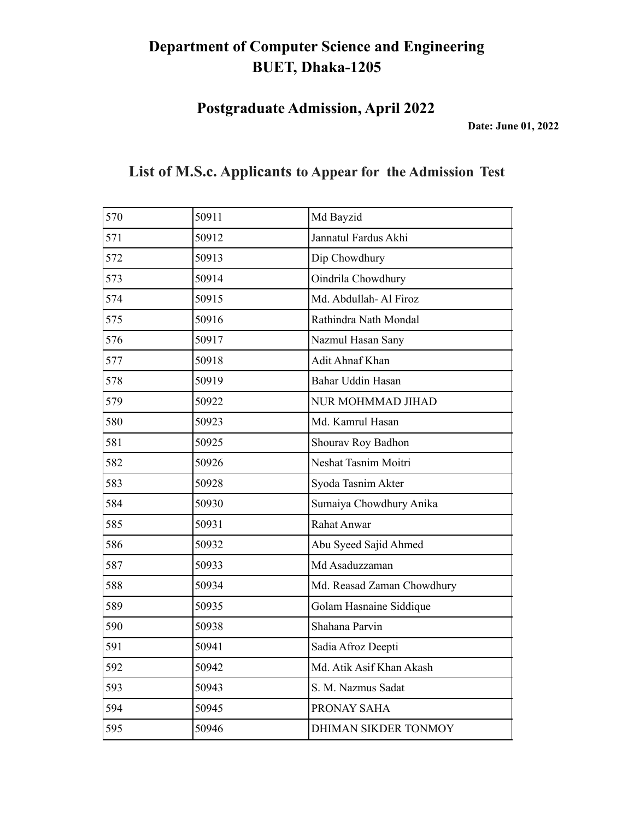**Postgraduate Admission, April 2022**

**Date: June 01, 2022**

| 570 | 50911 | Md Bayzid                  |
|-----|-------|----------------------------|
| 571 | 50912 | Jannatul Fardus Akhi       |
| 572 | 50913 | Dip Chowdhury              |
| 573 | 50914 | Oindrila Chowdhury         |
| 574 | 50915 | Md. Abdullah-Al Firoz      |
| 575 | 50916 | Rathindra Nath Mondal      |
| 576 | 50917 | Nazmul Hasan Sany          |
| 577 | 50918 | Adit Ahnaf Khan            |
| 578 | 50919 | Bahar Uddin Hasan          |
| 579 | 50922 | NUR MOHMMAD JIHAD          |
| 580 | 50923 | Md. Kamrul Hasan           |
| 581 | 50925 | Shourav Roy Badhon         |
| 582 | 50926 | Neshat Tasnim Moitri       |
| 583 | 50928 | Syoda Tasnim Akter         |
| 584 | 50930 | Sumaiya Chowdhury Anika    |
| 585 | 50931 | Rahat Anwar                |
| 586 | 50932 | Abu Syeed Sajid Ahmed      |
| 587 | 50933 | Md Asaduzzaman             |
| 588 | 50934 | Md. Reasad Zaman Chowdhury |
| 589 | 50935 | Golam Hasnaine Siddique    |
| 590 | 50938 | Shahana Parvin             |
| 591 | 50941 | Sadia Afroz Deepti         |
| 592 | 50942 | Md. Atik Asif Khan Akash   |
| 593 | 50943 | S. M. Nazmus Sadat         |
| 594 | 50945 | PRONAY SAHA                |
| 595 | 50946 | DHIMAN SIKDER TONMOY       |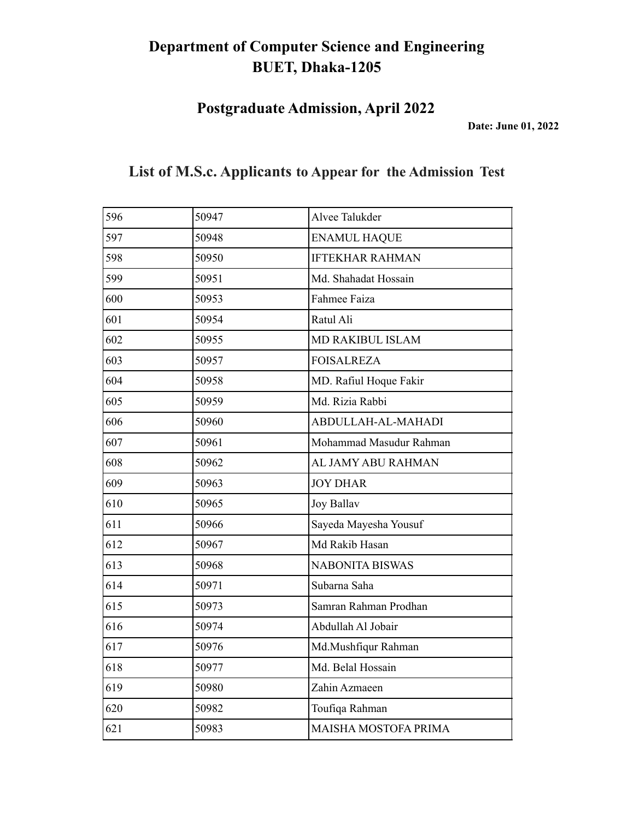**Postgraduate Admission, April 2022**

**Date: June 01, 2022**

| 596 | 50947 | Alvee Talukder          |
|-----|-------|-------------------------|
| 597 | 50948 | <b>ENAMUL HAQUE</b>     |
| 598 | 50950 | <b>IFTEKHAR RAHMAN</b>  |
| 599 | 50951 | Md. Shahadat Hossain    |
| 600 | 50953 | Fahmee Faiza            |
| 601 | 50954 | Ratul Ali               |
| 602 | 50955 | <b>MD RAKIBUL ISLAM</b> |
| 603 | 50957 | <b>FOISALREZA</b>       |
| 604 | 50958 | MD. Rafiul Hoque Fakir  |
| 605 | 50959 | Md. Rizia Rabbi         |
| 606 | 50960 | ABDULLAH-AL-MAHADI      |
| 607 | 50961 | Mohammad Masudur Rahman |
| 608 | 50962 | AL JAMY ABU RAHMAN      |
| 609 | 50963 | <b>JOY DHAR</b>         |
| 610 | 50965 | <b>Joy Ballav</b>       |
| 611 | 50966 | Sayeda Mayesha Yousuf   |
| 612 | 50967 | Md Rakib Hasan          |
| 613 | 50968 | <b>NABONITA BISWAS</b>  |
| 614 | 50971 | Subarna Saha            |
| 615 | 50973 | Samran Rahman Prodhan   |
| 616 | 50974 | Abdullah Al Jobair      |
| 617 | 50976 | Md.Mushfiqur Rahman     |
| 618 | 50977 | Md. Belal Hossain       |
| 619 | 50980 | Zahin Azmaeen           |
| 620 | 50982 | Toufiqa Rahman          |
| 621 | 50983 | MAISHA MOSTOFA PRIMA    |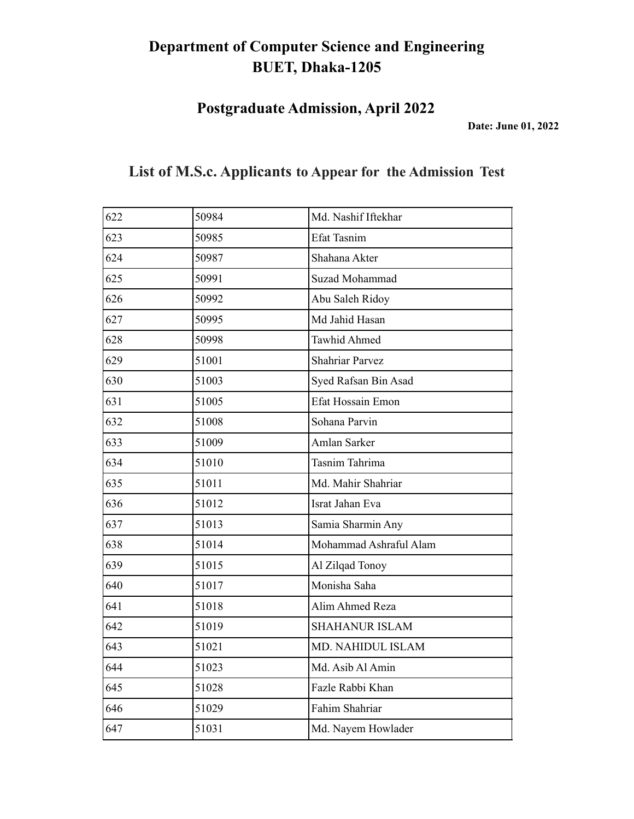**Postgraduate Admission, April 2022**

**Date: June 01, 2022**

| 622 | 50984 | Md. Nashif Iftekhar      |
|-----|-------|--------------------------|
| 623 | 50985 | Efat Tasnim              |
| 624 | 50987 | Shahana Akter            |
| 625 | 50991 | Suzad Mohammad           |
| 626 | 50992 | Abu Saleh Ridoy          |
| 627 | 50995 | Md Jahid Hasan           |
| 628 | 50998 | <b>Tawhid Ahmed</b>      |
| 629 | 51001 | <b>Shahriar Parvez</b>   |
| 630 | 51003 | Syed Rafsan Bin Asad     |
| 631 | 51005 | <b>Efat Hossain Emon</b> |
| 632 | 51008 | Sohana Parvin            |
| 633 | 51009 | Amlan Sarker             |
| 634 | 51010 | Tasnim Tahrima           |
| 635 | 51011 | Md. Mahir Shahriar       |
| 636 | 51012 | Israt Jahan Eva          |
| 637 | 51013 | Samia Sharmin Any        |
| 638 | 51014 | Mohammad Ashraful Alam   |
| 639 | 51015 | Al Zilqad Tonoy          |
| 640 | 51017 | Monisha Saha             |
| 641 | 51018 | Alim Ahmed Reza          |
| 642 | 51019 | <b>SHAHANUR ISLAM</b>    |
| 643 | 51021 | MD. NAHIDUL ISLAM        |
| 644 | 51023 | Md. Asib Al Amin         |
| 645 | 51028 | Fazle Rabbi Khan         |
| 646 | 51029 | Fahim Shahriar           |
| 647 | 51031 | Md. Nayem Howlader       |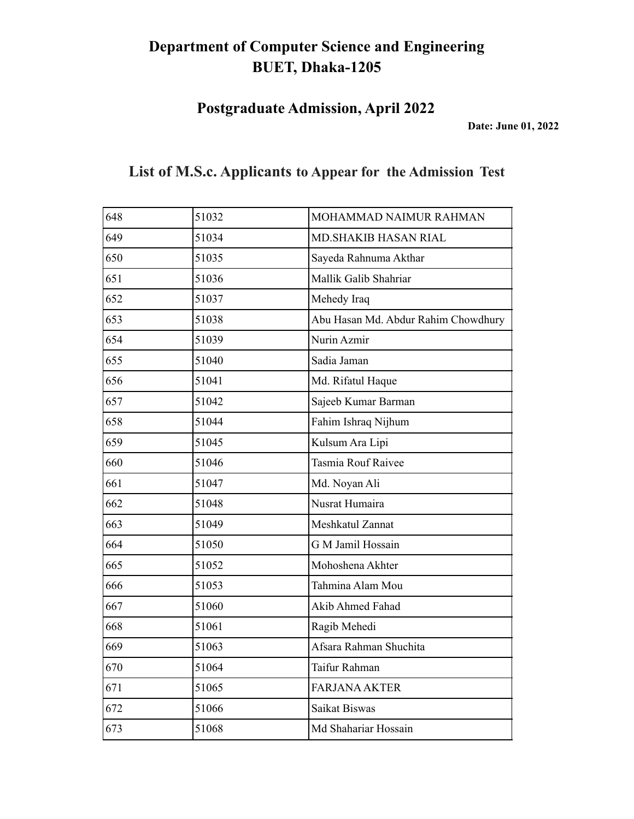**Postgraduate Admission, April 2022**

**Date: June 01, 2022**

| 648 | 51032 | MOHAMMAD NAIMUR RAHMAN              |
|-----|-------|-------------------------------------|
| 649 | 51034 | <b>MD.SHAKIB HASAN RIAL</b>         |
| 650 | 51035 | Sayeda Rahnuma Akthar               |
| 651 | 51036 | Mallik Galib Shahriar               |
| 652 | 51037 | Mehedy Iraq                         |
| 653 | 51038 | Abu Hasan Md. Abdur Rahim Chowdhury |
| 654 | 51039 | Nurin Azmir                         |
| 655 | 51040 | Sadia Jaman                         |
| 656 | 51041 | Md. Rifatul Haque                   |
| 657 | 51042 | Sajeeb Kumar Barman                 |
| 658 | 51044 | Fahim Ishraq Nijhum                 |
| 659 | 51045 | Kulsum Ara Lipi                     |
| 660 | 51046 | Tasmia Rouf Raivee                  |
| 661 | 51047 | Md. Noyan Ali                       |
| 662 | 51048 | Nusrat Humaira                      |
| 663 | 51049 | Meshkatul Zannat                    |
| 664 | 51050 | G M Jamil Hossain                   |
| 665 | 51052 | Mohoshena Akhter                    |
| 666 | 51053 | Tahmina Alam Mou                    |
| 667 | 51060 | Akib Ahmed Fahad                    |
| 668 | 51061 | Ragib Mehedi                        |
| 669 | 51063 | Afsara Rahman Shuchita              |
| 670 | 51064 | Taifur Rahman                       |
| 671 | 51065 | <b>FARJANA AKTER</b>                |
| 672 | 51066 | Saikat Biswas                       |
| 673 | 51068 | Md Shahariar Hossain                |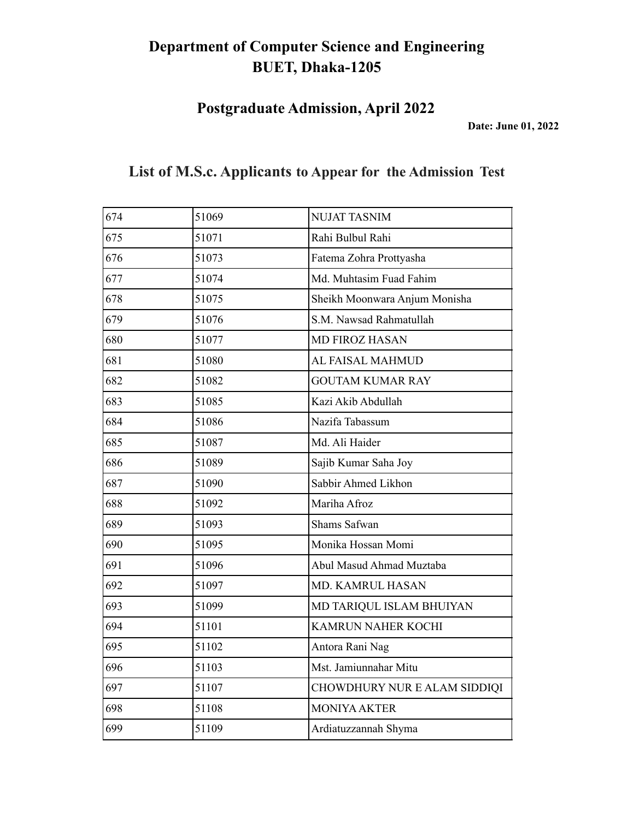**Postgraduate Admission, April 2022**

**Date: June 01, 2022**

| 674 | 51069 | <b>NUJAT TASNIM</b>           |
|-----|-------|-------------------------------|
| 675 | 51071 | Rahi Bulbul Rahi              |
| 676 | 51073 | Fatema Zohra Prottyasha       |
| 677 | 51074 | Md. Muhtasim Fuad Fahim       |
| 678 | 51075 | Sheikh Moonwara Anjum Monisha |
| 679 | 51076 | S.M. Nawsad Rahmatullah       |
| 680 | 51077 | <b>MD FIROZ HASAN</b>         |
| 681 | 51080 | AL FAISAL MAHMUD              |
| 682 | 51082 | <b>GOUTAM KUMAR RAY</b>       |
| 683 | 51085 | Kazi Akib Abdullah            |
| 684 | 51086 | Nazifa Tabassum               |
| 685 | 51087 | Md. Ali Haider                |
| 686 | 51089 | Sajib Kumar Saha Joy          |
| 687 | 51090 | Sabbir Ahmed Likhon           |
| 688 | 51092 | Mariha Afroz                  |
| 689 | 51093 | Shams Safwan                  |
| 690 | 51095 | Monika Hossan Momi            |
| 691 | 51096 | Abul Masud Ahmad Muztaba      |
| 692 | 51097 | MD. KAMRUL HASAN              |
| 693 | 51099 | MD TARIQUL ISLAM BHUIYAN      |
| 694 | 51101 | <b>KAMRUN NAHER KOCHI</b>     |
| 695 | 51102 | Antora Rani Nag               |
| 696 | 51103 | Mst. Jamiunnahar Mitu         |
| 697 | 51107 | CHOWDHURY NUR E ALAM SIDDIQI  |
| 698 | 51108 | <b>MONIYA AKTER</b>           |
| 699 | 51109 | Ardiatuzzannah Shyma          |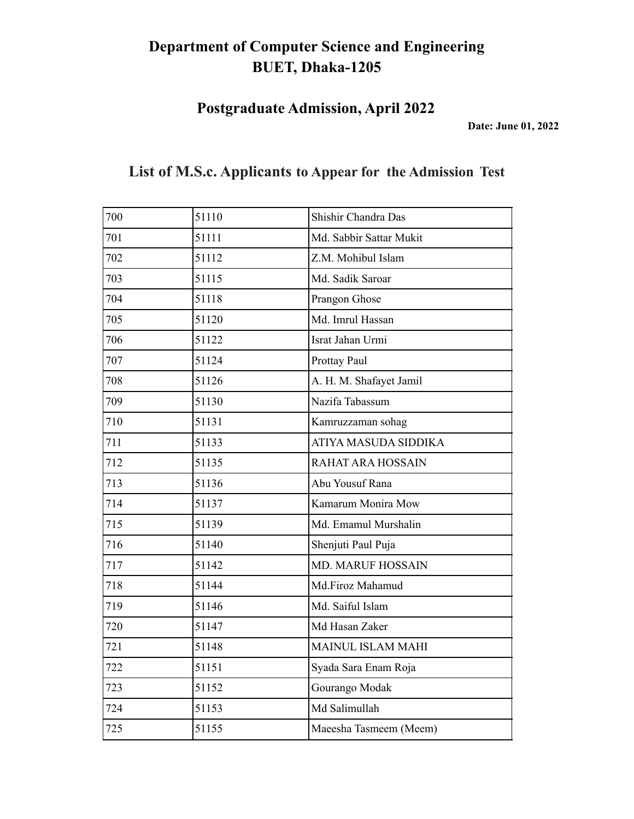**Postgraduate Admission, April 2022**

**Date: June 01, 2022**

| 700 | 51110 | Shishir Chandra Das      |
|-----|-------|--------------------------|
| 701 | 51111 | Md. Sabbir Sattar Mukit  |
| 702 | 51112 | Z.M. Mohibul Islam       |
| 703 | 51115 | Md. Sadik Saroar         |
| 704 | 51118 | Prangon Ghose            |
| 705 | 51120 | Md. Imrul Hassan         |
| 706 | 51122 | Israt Jahan Urmi         |
| 707 | 51124 | Prottay Paul             |
| 708 | 51126 | A. H. M. Shafayet Jamil  |
| 709 | 51130 | Nazifa Tabassum          |
| 710 | 51131 | Kamruzzaman sohag        |
| 711 | 51133 | ATIYA MASUDA SIDDIKA     |
| 712 | 51135 | RAHAT ARA HOSSAIN        |
| 713 | 51136 | Abu Yousuf Rana          |
| 714 | 51137 | Kamarum Monira Mow       |
| 715 | 51139 | Md. Emamul Murshalin     |
| 716 | 51140 | Shenjuti Paul Puja       |
| 717 | 51142 | <b>MD. MARUF HOSSAIN</b> |
| 718 | 51144 | Md.Firoz Mahamud         |
| 719 | 51146 | Md. Saiful Islam         |
| 720 | 51147 | Md Hasan Zaker           |
| 721 | 51148 | <b>MAINUL ISLAM MAHI</b> |
| 722 | 51151 | Syada Sara Enam Roja     |
| 723 | 51152 | Gourango Modak           |
| 724 | 51153 | Md Salimullah            |
| 725 | 51155 | Maeesha Tasmeem (Meem)   |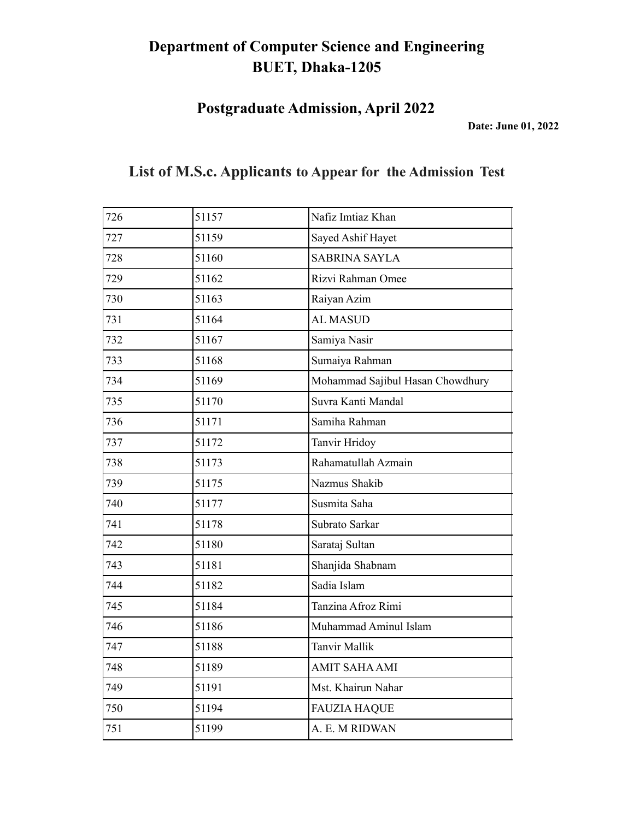**Postgraduate Admission, April 2022**

**Date: June 01, 2022**

| 726 | 51157 | Nafiz Imtiaz Khan                |
|-----|-------|----------------------------------|
| 727 | 51159 | Sayed Ashif Hayet                |
| 728 | 51160 | <b>SABRINA SAYLA</b>             |
| 729 | 51162 | Rizvi Rahman Omee                |
| 730 | 51163 | Raiyan Azim                      |
| 731 | 51164 | <b>AL MASUD</b>                  |
| 732 | 51167 | Samiya Nasir                     |
| 733 | 51168 | Sumaiya Rahman                   |
| 734 | 51169 | Mohammad Sajibul Hasan Chowdhury |
| 735 | 51170 | Suvra Kanti Mandal               |
| 736 | 51171 | Samiha Rahman                    |
| 737 | 51172 | Tanvir Hridoy                    |
| 738 | 51173 | Rahamatullah Azmain              |
| 739 | 51175 | Nazmus Shakib                    |
| 740 | 51177 | Susmita Saha                     |
| 741 | 51178 | Subrato Sarkar                   |
| 742 | 51180 | Sarataj Sultan                   |
| 743 | 51181 | Shanjida Shabnam                 |
| 744 | 51182 | Sadia Islam                      |
| 745 | 51184 | Tanzina Afroz Rimi               |
| 746 | 51186 | Muhammad Aminul Islam            |
| 747 | 51188 | <b>Tanvir Mallik</b>             |
| 748 | 51189 | <b>AMIT SAHA AMI</b>             |
| 749 | 51191 | Mst. Khairun Nahar               |
| 750 | 51194 | <b>FAUZIA HAQUE</b>              |
| 751 | 51199 | A. E. M RIDWAN                   |